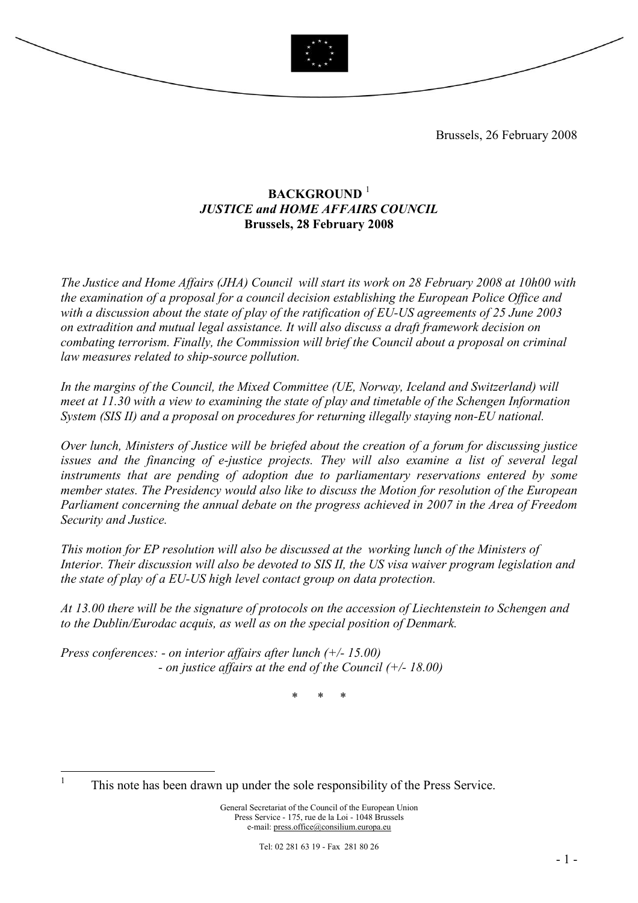

Brussels, 26 February 2008

# BACKGROUND<sup>1</sup> JUSTICE and HOME AFFAIRS COUNCIL Brussels, 28 February 2008

The Justice and Home Affairs (JHA) Council will start its work on 28 February 2008 at 10h00 with the examination of a proposal for a council decision establishing the European Police Office and with a discussion about the state of play of the ratification of EU-US agreements of 25 June 2003 on extradition and mutual legal assistance. It will also discuss a draft framework decision on combating terrorism. Finally, the Commission will brief the Council about a proposal on criminal law measures related to ship-source pollution.

In the margins of the Council, the Mixed Committee (UE, Norway, Iceland and Switzerland) will meet at 11.30 with a view to examining the state of play and timetable of the Schengen Information System (SIS II) and a proposal on procedures for returning illegally staying non-EU national.

Over lunch, Ministers of Justice will be briefed about the creation of a forum for discussing justice issues and the financing of e-justice projects. They will also examine a list of several legal instruments that are pending of adoption due to parliamentary reservations entered by some member states. The Presidency would also like to discuss the Motion for resolution of the European Parliament concerning the annual debate on the progress achieved in 2007 in the Area of Freedom Security and Justice.

This motion for EP resolution will also be discussed at the working lunch of the Ministers of Interior. Their discussion will also be devoted to SIS II, the US visa waiver program legislation and the state of play of a EU-US high level contact group on data protection.

At 13.00 there will be the signature of protocols on the accession of Liechtenstein to Schengen and to the Dublin/Eurodac acquis, as well as on the special position of Denmark.

Press conferences: - on interior affairs after lunch  $(+/- 15.00)$ - on justice affairs at the end of the Council  $(+/- 18.00)$ 

\* \* \*

 $\frac{1}{1}$ 

This note has been drawn up under the sole responsibility of the Press Service.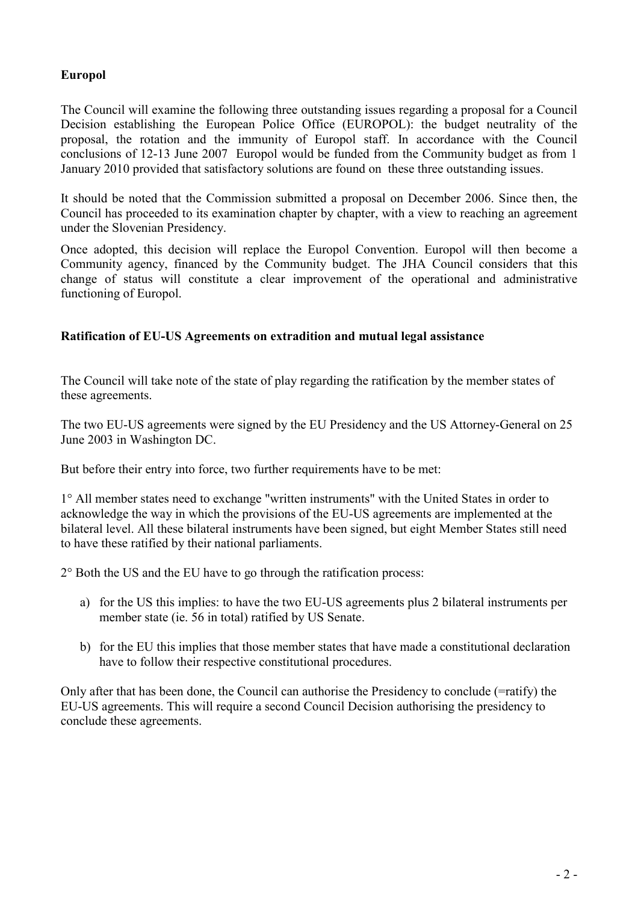# Europol

The Council will examine the following three outstanding issues regarding a proposal for a Council Decision establishing the European Police Office (EUROPOL): the budget neutrality of the proposal, the rotation and the immunity of Europol staff. In accordance with the Council conclusions of 12-13 June 2007 Europol would be funded from the Community budget as from 1 January 2010 provided that satisfactory solutions are found on these three outstanding issues.

It should be noted that the Commission submitted a proposal on December 2006. Since then, the Council has proceeded to its examination chapter by chapter, with a view to reaching an agreement under the Slovenian Presidency.

Once adopted, this decision will replace the Europol Convention. Europol will then become a Community agency, financed by the Community budget. The JHA Council considers that this change of status will constitute a clear improvement of the operational and administrative functioning of Europol.

### Ratification of EU-US Agreements on extradition and mutual legal assistance

The Council will take note of the state of play regarding the ratification by the member states of these agreements.

The two EU-US agreements were signed by the EU Presidency and the US Attorney-General on 25 June 2003 in Washington DC.

But before their entry into force, two further requirements have to be met:

1° All member states need to exchange "written instruments" with the United States in order to acknowledge the way in which the provisions of the EU-US agreements are implemented at the bilateral level. All these bilateral instruments have been signed, but eight Member States still need to have these ratified by their national parliaments.

2° Both the US and the EU have to go through the ratification process:

- a) for the US this implies: to have the two EU-US agreements plus 2 bilateral instruments per member state (ie. 56 in total) ratified by US Senate.
- b) for the EU this implies that those member states that have made a constitutional declaration have to follow their respective constitutional procedures.

Only after that has been done, the Council can authorise the Presidency to conclude (=ratify) the EU-US agreements. This will require a second Council Decision authorising the presidency to conclude these agreements.